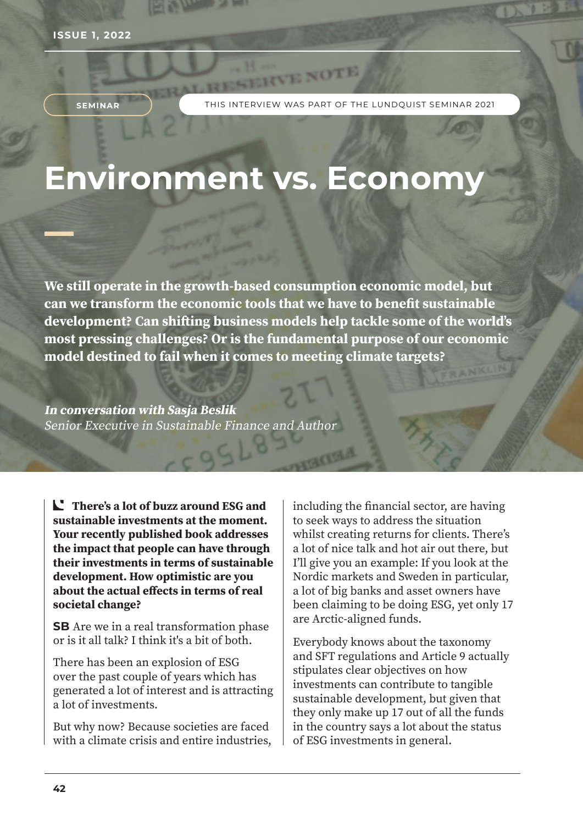**SEMINAR**

THIS INTERVIEW WAS PART OF THE LUNDQUIST SEMINAR 2021

HVE NOTE

# **Environment vs. Economy**

**We still operate in the growth-based consumption economic model, but can we transform the economic tools that we have to benefit sustainable development? Can shifting business models help tackle some of the world's most pressing challenges? Or is the fundamental purpose of our economic model destined to fail when it comes to meeting climate targets?**

**In conversation with Sasja Beslik** Senior Executive in Sustainable Finance and Author

**There's a lot of buzz around ESG and sustainable investments at the moment. Your recently published book addresses the impact that people can have through their investments in terms of sustainable development. How optimistic are you about the actual effects in terms of real societal change?** 

**SB** Are we in a real transformation phase or is it all talk? I think it's a bit of both.

There has been an explosion of ESG over the past couple of years which has generated a lot of interest and is attracting a lot of investments.

But why now? Because societies are faced with a climate crisis and entire industries, including the financial sector, are having to seek ways to address the situation whilst creating returns for clients. There's a lot of nice talk and hot air out there, but I'll give you an example: If you look at the Nordic markets and Sweden in particular, a lot of big banks and asset owners have been claiming to be doing ESG, yet only 17 are Arctic-aligned funds.

Everybody knows about the taxonomy and SFT regulations and Article 9 actually stipulates clear objectives on how investments can contribute to tangible sustainable development, but given that they only make up 17 out of all the funds in the country says a lot about the status of ESG investments in general.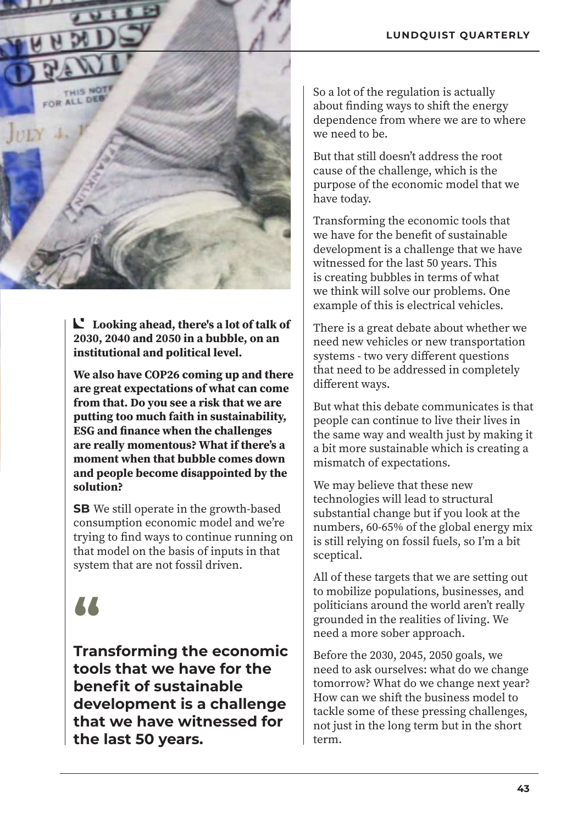

**Looking ahead, there's a lot of talk of 2030, 2040 and 2050 in a bubble, on an institutional and political level.**

**We also have COP26 coming up and there are great expectations of what can come from that. Do you see a risk that we are putting too much faith in sustainability, ESG and finance when the challenges are really momentous? What if there's a moment when that bubble comes down and people become disappointed by the solution?** 

**SB** We still operate in the growth-based consumption economic model and we're trying to find ways to continue running on that model on the basis of inputs in that system that are not fossil driven.

## **"**

**Transforming the economic tools that we have for the benefit of sustainable development is a challenge that we have witnessed for the last 50 years.**

So a lot of the regulation is actually about finding ways to shift the energy dependence from where we are to where we need to be.

But that still doesn't address the root cause of the challenge, which is the purpose of the economic model that we have today.

Transforming the economic tools that we have for the benefit of sustainable development is a challenge that we have witnessed for the last 50 years. This is creating bubbles in terms of what we think will solve our problems. One example of this is electrical vehicles.

There is a great debate about whether we need new vehicles or new transportation systems - two very different questions that need to be addressed in completely different ways.

But what this debate communicates is that people can continue to live their lives in the same way and wealth just by making it a bit more sustainable which is creating a mismatch of expectations.

We may believe that these new technologies will lead to structural substantial change but if you look at the numbers, 60-65% of the global energy mix is still relying on fossil fuels, so I'm a bit sceptical.

All of these targets that we are setting out to mobilize populations, businesses, and politicians around the world aren't really grounded in the realities of living. We need a more sober approach.

Before the 2030, 2045, 2050 goals, we need to ask ourselves: what do we change tomorrow? What do we change next year? How can we shift the business model to tackle some of these pressing challenges, not just in the long term but in the short term.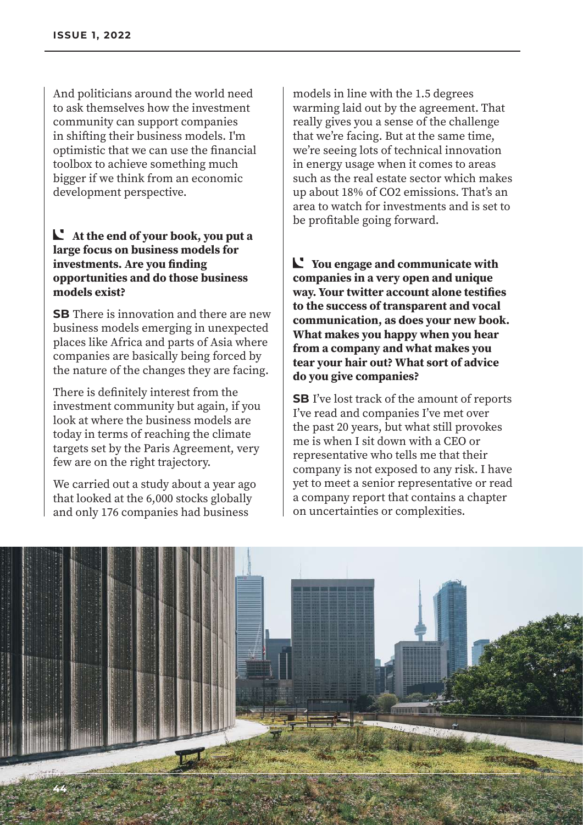And politicians around the world need to ask themselves how the investment community can support companies in shifting their business models. I'm optimistic that we can use the financial toolbox to achieve something much bigger if we think from an economic development perspective.

#### **At the end of your book, you put a large focus on business models for investments. Are you finding opportunities and do those business models exist?**

**SB** There is innovation and there are new business models emerging in unexpected places like Africa and parts of Asia where companies are basically being forced by the nature of the changes they are facing.

There is definitely interest from the investment community but again, if you look at where the business models are today in terms of reaching the climate targets set by the Paris Agreement, very few are on the right trajectory.

We carried out a study about a year ago that looked at the 6,000 stocks globally and only 176 companies had business

models in line with the 1.5 degrees warming laid out by the agreement. That really gives you a sense of the challenge that we're facing. But at the same time, we're seeing lots of technical innovation in energy usage when it comes to areas such as the real estate sector which makes up about 18% of CO2 emissions. That's an area to watch for investments and is set to be profitable going forward.

**You engage and communicate with companies in a very open and unique way. Your twitter account alone testifies to the success of transparent and vocal communication, as does your new book. What makes you happy when you hear from a company and what makes you tear your hair out? What sort of advice do you give companies?**

**SB** I've lost track of the amount of reports I've read and companies I've met over the past 20 years, but what still provokes me is when I sit down with a CEO or representative who tells me that their company is not exposed to any risk. I have yet to meet a senior representative or read a company report that contains a chapter on uncertainties or complexities.